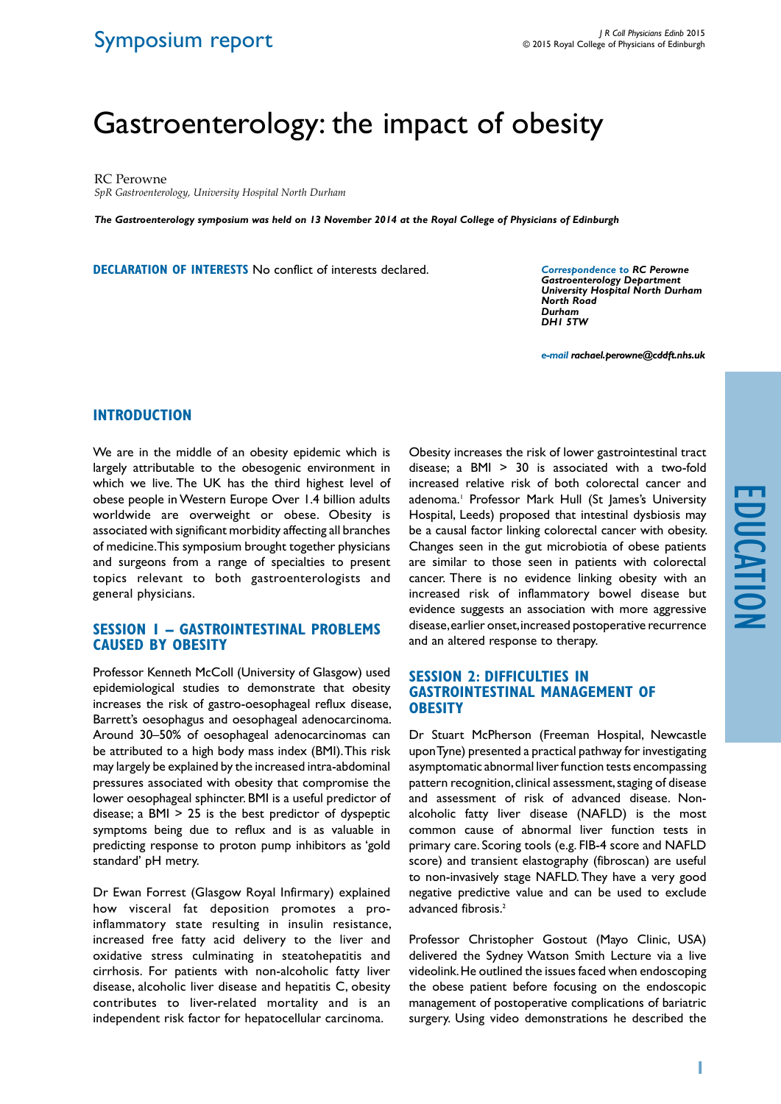## Symposium report

# Gastroenterology: the impact of obesity

RC Perowne

*SpR Gastroenterology, University Hospital North Durham*

*The Gastroenterology symposium was held on 13 November 2014 at the Royal College of Physicians of Edinburgh*

**Declaration of Interests** No conflict of interests declared.

*Correspondence to RC Perowne Gastroenterology Department University Hospital North Durham North Road Durham DH1 5TW*

*e-mail rachael.perowne@cddft.nhs.uk*

#### **Introduction**

We are in the middle of an obesity epidemic which is largely attributable to the obesogenic environment in which we live. The UK has the third highest level of obese people in Western Europe Over 1.4 billion adults worldwide are overweight or obese. Obesity is associated with significant morbidity affecting all branches of medicine. This symposium brought together physicians and surgeons from a range of specialties to present topics relevant to both gastroenterologists and general physicians.

#### **Session 1 – Gastrointestinal problems caused by obesity**

Professor Kenneth McColl (University of Glasgow) used epidemiological studies to demonstrate that obesity increases the risk of gastro-oesophageal reflux disease, Barrett's oesophagus and oesophageal adenocarcinoma. Around 30–50% of oesophageal adenocarcinomas can be attributed to a high body mass index (BMI). This risk may largely be explained by the increased intra-abdominal pressures associated with obesity that compromise the lower oesophageal sphincter. BMI is a useful predictor of disease; a BMI > 25 is the best predictor of dyspeptic symptoms being due to reflux and is as valuable in predicting response to proton pump inhibitors as 'gold standard' pH metry.

Dr Ewan Forrest (Glasgow Royal Infirmary) explained how visceral fat deposition promotes a proinflammatory state resulting in insulin resistance, increased free fatty acid delivery to the liver and oxidative stress culminating in steatohepatitis and cirrhosis. For patients with non-alcoholic fatty liver disease, alcoholic liver disease and hepatitis C, obesity contributes to liver-related mortality and is an independent risk factor for hepatocellular carcinoma.

Obesity increases the risk of lower gastrointestinal tract disease; a BMI > 30 is associated with a two-fold increased relative risk of both colorectal cancer and adenoma.1 Professor Mark Hull (St James's University Hospital, Leeds) proposed that intestinal dysbiosis may be a causal factor linking colorectal cancer with obesity. Changes seen in the gut microbiotia of obese patients are similar to those seen in patients with colorectal cancer. There is no evidence linking obesity with an increased risk of inflammatory bowel disease but evidence suggests an association with more aggressive disease, earlier onset, increased postoperative recurrence and an altered response to therapy.

#### **Session 2: Difficulties in Gastrointestinal Management of Obesity**

Dr Stuart McPherson (Freeman Hospital, Newcastle upon Tyne) presented a practical pathway for investigating asymptomatic abnormal liver function tests encompassing pattern recognition, clinical assessment, staging of disease and assessment of risk of advanced disease. Nonalcoholic fatty liver disease (NAFLD) is the most common cause of abnormal liver function tests in primary care. Scoring tools (e.g. FIB-4 score and NAFLD score) and transient elastography (fibroscan) are useful to non-invasively stage NAFLD. They have a very good negative predictive value and can be used to exclude advanced fibrosis.<sup>2</sup>

Professor Christopher Gostout (Mayo Clinic, USA) delivered the Sydney Watson Smith Lecture via a live videolink. He outlined the issues faced when endoscoping the obese patient before focusing on the endoscopic management of postoperative complications of bariatric surgery. Using video demonstrations he described the